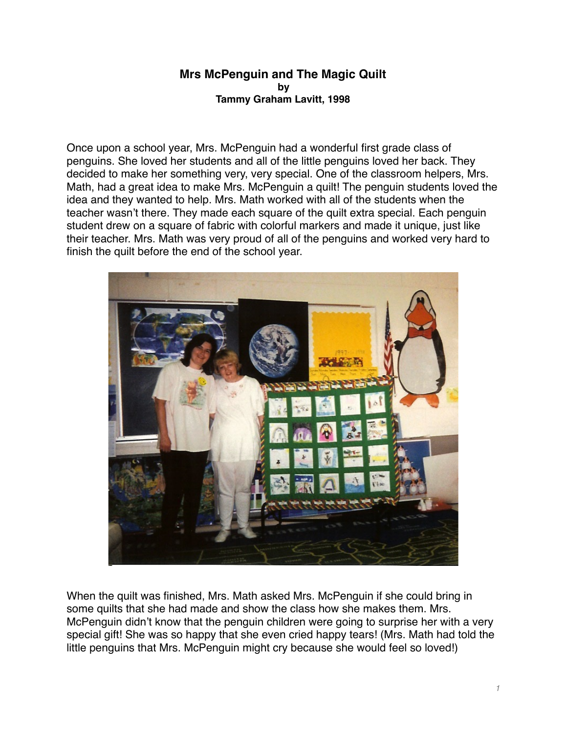## **Mrs McPenguin and The Magic Quilt by Tammy Graham Lavitt, 1998**

Once upon a school year, Mrs. McPenguin had a wonderful first grade class of penguins. She loved her students and all of the little penguins loved her back. They decided to make her something very, very special. One of the classroom helpers, Mrs. Math, had a great idea to make Mrs. McPenguin a quilt! The penguin students loved the idea and they wanted to help. Mrs. Math worked with all of the students when the teacher wasn't there. They made each square of the quilt extra special. Each penguin student drew on a square of fabric with colorful markers and made it unique, just like their teacher. Mrs. Math was very proud of all of the penguins and worked very hard to finish the quilt before the end of the school year.



When the quilt was finished, Mrs. Math asked Mrs. McPenguin if she could bring in some quilts that she had made and show the class how she makes them. Mrs. McPenguin didn't know that the penguin children were going to surprise her with a very special gift! She was so happy that she even cried happy tears! (Mrs. Math had told the little penguins that Mrs. McPenguin might cry because she would feel so loved!)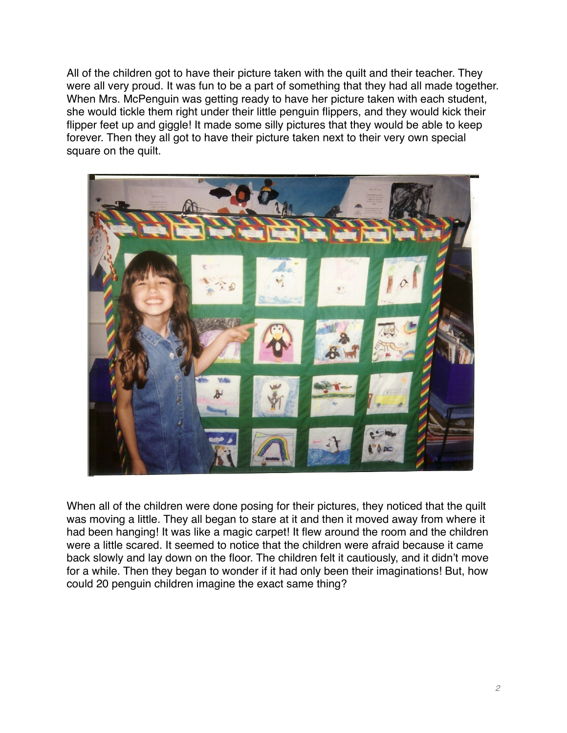All of the children got to have their picture taken with the quilt and their teacher. They were all very proud. It was fun to be a part of something that they had all made together. When Mrs. McPenguin was getting ready to have her picture taken with each student, she would tickle them right under their little penguin flippers, and they would kick their flipper feet up and giggle! It made some silly pictures that they would be able to keep forever. Then they all got to have their picture taken next to their very own special square on the quilt.



When all of the children were done posing for their pictures, they noticed that the quilt was moving a little. They all began to stare at it and then it moved away from where it had been hanging! It was like a magic carpet! It flew around the room and the children were a little scared. It seemed to notice that the children were afraid because it came back slowly and lay down on the floor. The children felt it cautiously, and it didn't move for a while. Then they began to wonder if it had only been their imaginations! But, how could 20 penguin children imagine the exact same thing?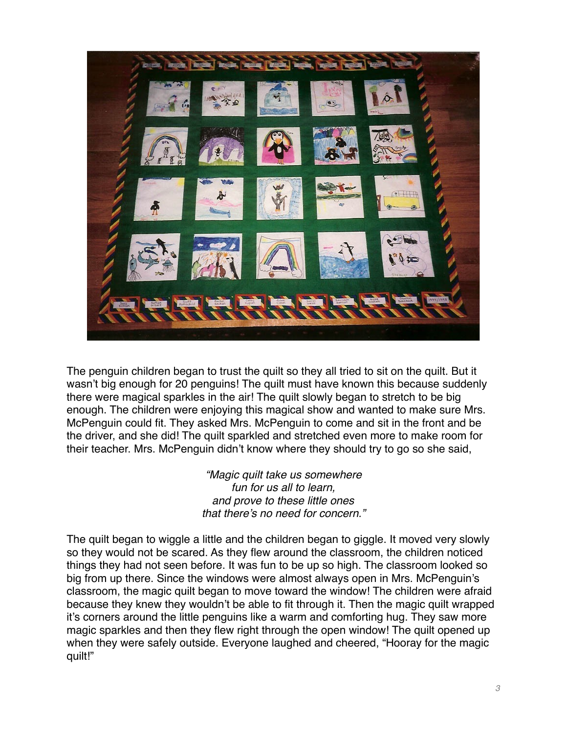

The penguin children began to trust the quilt so they all tried to sit on the quilt. But it wasn't big enough for 20 penguins! The quilt must have known this because suddenly there were magical sparkles in the air! The quilt slowly began to stretch to be big enough. The children were enjoying this magical show and wanted to make sure Mrs. McPenguin could fit. They asked Mrs. McPenguin to come and sit in the front and be the driver, and she did! The quilt sparkled and stretched even more to make room for their teacher. Mrs. McPenguin didn't know where they should try to go so she said,

> *"Magic quilt take us somewhere fun for us all to learn, and prove to these little ones that there's no need for concern."*

The quilt began to wiggle a little and the children began to giggle. It moved very slowly so they would not be scared. As they flew around the classroom, the children noticed things they had not seen before. It was fun to be up so high. The classroom looked so big from up there. Since the windows were almost always open in Mrs. McPenguin's classroom, the magic quilt began to move toward the window! The children were afraid because they knew they wouldn't be able to fit through it. Then the magic quilt wrapped it's corners around the little penguins like a warm and comforting hug. They saw more magic sparkles and then they flew right through the open window! The quilt opened up when they were safely outside. Everyone laughed and cheered, "Hooray for the magic quilt!"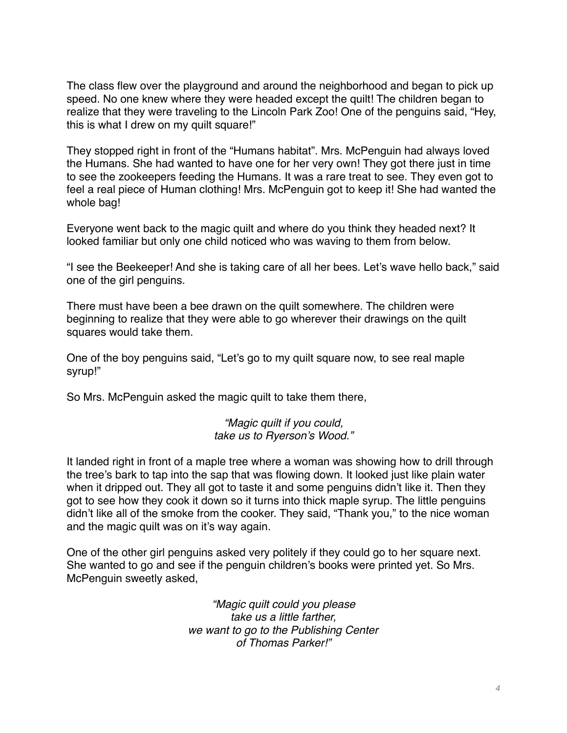The class flew over the playground and around the neighborhood and began to pick up speed. No one knew where they were headed except the quilt! The children began to realize that they were traveling to the Lincoln Park Zoo! One of the penguins said, "Hey, this is what I drew on my quilt square!"

They stopped right in front of the "Humans habitat". Mrs. McPenguin had always loved the Humans. She had wanted to have one for her very own! They got there just in time to see the zookeepers feeding the Humans. It was a rare treat to see. They even got to feel a real piece of Human clothing! Mrs. McPenguin got to keep it! She had wanted the whole bag!

Everyone went back to the magic quilt and where do you think they headed next? It looked familiar but only one child noticed who was waving to them from below.

"I see the Beekeeper! And she is taking care of all her bees. Let's wave hello back," said one of the girl penguins.

There must have been a bee drawn on the quilt somewhere. The children were beginning to realize that they were able to go wherever their drawings on the quilt squares would take them.

One of the boy penguins said, "Let's go to my quilt square now, to see real maple syrup!"

So Mrs. McPenguin asked the magic quilt to take them there,

*"Magic quilt if you could, take us to Ryerson's Wood."*

It landed right in front of a maple tree where a woman was showing how to drill through the tree's bark to tap into the sap that was flowing down. It looked just like plain water when it dripped out. They all got to taste it and some penguins didn't like it. Then they got to see how they cook it down so it turns into thick maple syrup. The little penguins didn't like all of the smoke from the cooker. They said, "Thank you," to the nice woman and the magic quilt was on it's way again.

One of the other girl penguins asked very politely if they could go to her square next. She wanted to go and see if the penguin children's books were printed yet. So Mrs. McPenguin sweetly asked,

> *"Magic quilt could you please take us a little farther, we want to go to the Publishing Center of Thomas Parker!"*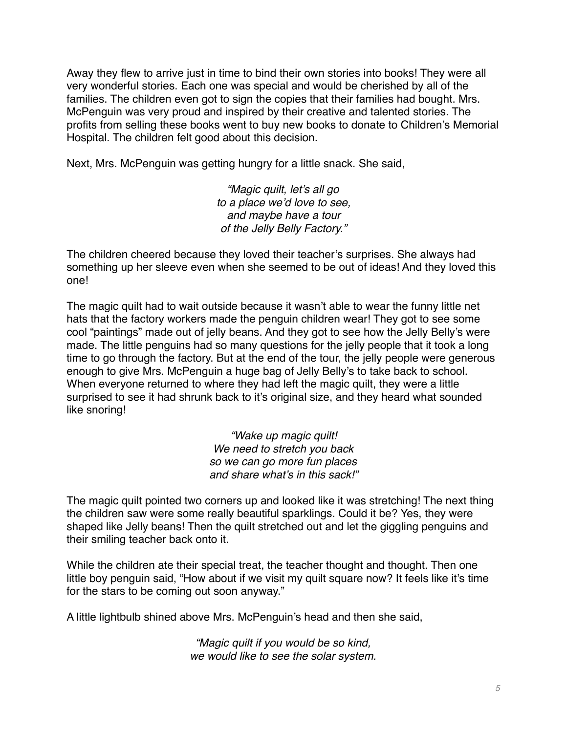Away they flew to arrive just in time to bind their own stories into books! They were all very wonderful stories. Each one was special and would be cherished by all of the families. The children even got to sign the copies that their families had bought. Mrs. McPenguin was very proud and inspired by their creative and talented stories. The profits from selling these books went to buy new books to donate to Children's Memorial Hospital. The children felt good about this decision.

Next, Mrs. McPenguin was getting hungry for a little snack. She said,

*"Magic quilt, let's all go to a place we'd love to see, and maybe have a tour of the Jelly Belly Factory."*

The children cheered because they loved their teacher's surprises. She always had something up her sleeve even when she seemed to be out of ideas! And they loved this one!

The magic quilt had to wait outside because it wasn't able to wear the funny little net hats that the factory workers made the penguin children wear! They got to see some cool "paintings" made out of jelly beans. And they got to see how the Jelly Belly's were made. The little penguins had so many questions for the jelly people that it took a long time to go through the factory. But at the end of the tour, the jelly people were generous enough to give Mrs. McPenguin a huge bag of Jelly Belly's to take back to school. When everyone returned to where they had left the magic quilt, they were a little surprised to see it had shrunk back to it's original size, and they heard what sounded like snoring!

> *"Wake up magic quilt! We need to stretch you back so we can go more fun places and share what's in this sack!"*

The magic quilt pointed two corners up and looked like it was stretching! The next thing the children saw were some really beautiful sparklings. Could it be? Yes, they were shaped like Jelly beans! Then the quilt stretched out and let the giggling penguins and their smiling teacher back onto it.

While the children ate their special treat, the teacher thought and thought. Then one little boy penguin said, "How about if we visit my quilt square now? It feels like it's time for the stars to be coming out soon anyway."

A little lightbulb shined above Mrs. McPenguin's head and then she said,

*"Magic quilt if you would be so kind, we would like to see the solar system.*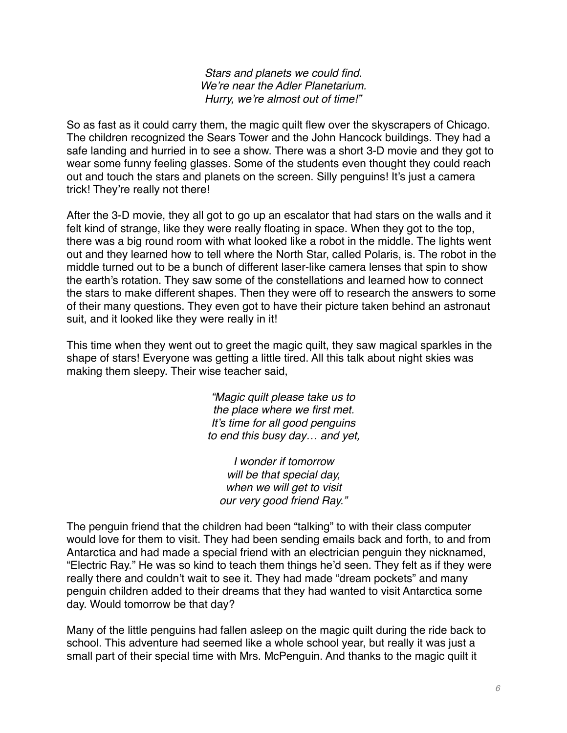*Stars and planets we could find. We're near the Adler Planetarium. Hurry, we're almost out of time!"*

So as fast as it could carry them, the magic quilt flew over the skyscrapers of Chicago. The children recognized the Sears Tower and the John Hancock buildings. They had a safe landing and hurried in to see a show. There was a short 3-D movie and they got to wear some funny feeling glasses. Some of the students even thought they could reach out and touch the stars and planets on the screen. Silly penguins! It's just a camera trick! They're really not there!

After the 3-D movie, they all got to go up an escalator that had stars on the walls and it felt kind of strange, like they were really floating in space. When they got to the top, there was a big round room with what looked like a robot in the middle. The lights went out and they learned how to tell where the North Star, called Polaris, is. The robot in the middle turned out to be a bunch of different laser-like camera lenses that spin to show the earth's rotation. They saw some of the constellations and learned how to connect the stars to make different shapes. Then they were off to research the answers to some of their many questions. They even got to have their picture taken behind an astronaut suit, and it looked like they were really in it!

This time when they went out to greet the magic quilt, they saw magical sparkles in the shape of stars! Everyone was getting a little tired. All this talk about night skies was making them sleepy. Their wise teacher said,

> *"Magic quilt please take us to the place where we first met. It's time for all good penguins to end this busy day… and yet,*

*I wonder if tomorrow will be that special day, when we will get to visit our very good friend Ray."*

The penguin friend that the children had been "talking" to with their class computer would love for them to visit. They had been sending emails back and forth, to and from Antarctica and had made a special friend with an electrician penguin they nicknamed, "Electric Ray." He was so kind to teach them things he'd seen. They felt as if they were really there and couldn't wait to see it. They had made "dream pockets" and many penguin children added to their dreams that they had wanted to visit Antarctica some day. Would tomorrow be that day?

Many of the little penguins had fallen asleep on the magic quilt during the ride back to school. This adventure had seemed like a whole school year, but really it was just a small part of their special time with Mrs. McPenguin. And thanks to the magic quilt it